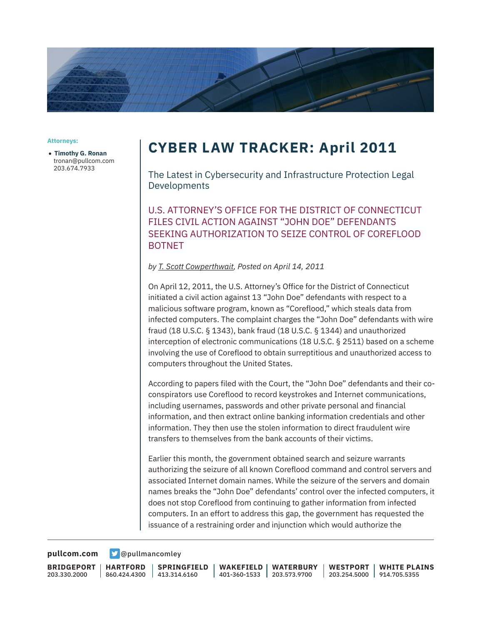

## **Attorneys:**

● **Timothy G. Ronan** tronan@pullcom.com 203.674.7933

## **CYBER LAW TRACKER: April 2011**

The Latest in Cybersecurity and Infrastructure Protection Legal Developments

U.S. ATTORNEY'S OFFICE FOR THE DISTRICT OF CONNECTICUT FILES CIVIL ACTION AGAINST "JOHN DOE" DEFENDANTS SEEKING AUTHORIZATION TO SEIZE CONTROL OF COREFLOOD BOTNET

*by T. Scott Cowperthwait, Posted on April 14, 2011*

On April 12, 2011, the U.S. Attorney's Office for the District of Connecticut initiated a civil action against 13 "John Doe" defendants with respect to a malicious software program, known as "Coreflood," which steals data from infected computers. The complaint charges the "John Doe" defendants with wire fraud (18 U.S.C. § 1343), bank fraud (18 U.S.C. § 1344) and unauthorized interception of electronic communications (18 U.S.C. § 2511) based on a scheme involving the use of Coreflood to obtain surreptitious and unauthorized access to computers throughout the United States.

According to papers filed with the Court, the "John Doe" defendants and their coconspirators use Coreflood to record keystrokes and Internet communications, including usernames, passwords and other private personal and financial information, and then extract online banking information credentials and other information. They then use the stolen information to direct fraudulent wire transfers to themselves from the bank accounts of their victims.

Earlier this month, the government obtained search and seizure warrants authorizing the seizure of all known Coreflood command and control servers and associated Internet domain names. While the seizure of the servers and domain names breaks the "John Doe" defendants' control over the infected computers, it does not stop Coreflood from continuing to gather information from infected computers. In an effort to address this gap, the government has requested the issuance of a restraining order and injunction which would authorize the

**[pullcom.com](https://www.pullcom.com) g** [@pullmancomley](https://twitter.com/PullmanComley)

**BRIDGEPORT** 203.330.2000

**HARTFORD**

860.424.4300 413.314.6160 **SPRINGFIELD** **WAKEFIELD** 401-360-1533 203.573.9700 **WATERBURY**

**WESTPORT** 203.254.5000 914.705.5355 **WHITE PLAINS**